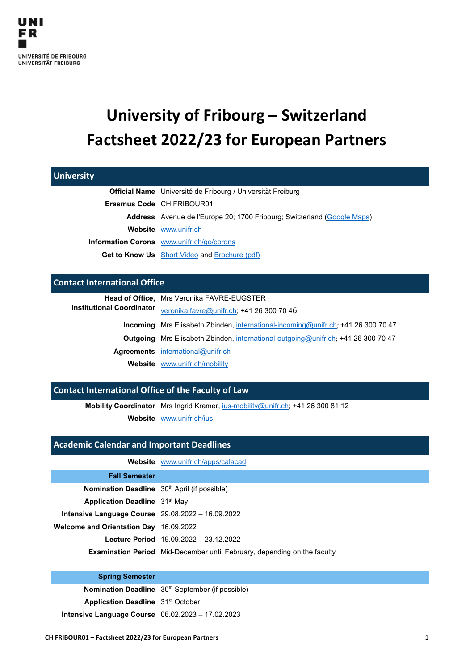# **University of Fribourg – Switzerland Factsheet 2022/23 for European Partners**

| <b>University</b>                                  |                                                                                 |
|----------------------------------------------------|---------------------------------------------------------------------------------|
|                                                    | Official Name Université de Fribourg / Universität Freiburg                     |
|                                                    | Erasmus Code CH FRIBOUR01                                                       |
|                                                    | <b>Address</b> Avenue de l'Europe 20; 1700 Fribourg; Switzerland (Google Maps)  |
|                                                    | Website www.unifr.ch                                                            |
|                                                    | Information Corona www.unifr.ch/go/corona                                       |
|                                                    | <b>Get to Know Us</b> Short Video and Brochure (pdf)                            |
|                                                    |                                                                                 |
| <b>Contact International Office</b>                |                                                                                 |
|                                                    | Head of Office, Mrs Veronika FAVRE-EUGSTER                                      |
| <b>Institutional Coordinator</b>                   | veronika.favre@unifr.ch; +41 26 300 70 46                                       |
| <b>Incoming</b>                                    | Mrs Elisabeth Zbinden, international-incoming@unifr.ch; +41 26 300 70 47        |
| Outgoing                                           | Mrs Elisabeth Zbinden, international-outgoing@unifr.ch; +41 26 300 70 47        |
|                                                    | Agreements international@unifr.ch                                               |
|                                                    | Website www.unifr.ch/mobility                                                   |
|                                                    |                                                                                 |
| Contact International Office of the Faculty of Law |                                                                                 |
|                                                    | Mobility Coordinator Mrs Ingrid Kramer, jus-mobility@unifr.ch; +41 26 300 81 12 |
|                                                    | Website www.unifr.ch/ius                                                        |
|                                                    |                                                                                 |
| <b>Academic Calendar and Important Deadlines</b>   |                                                                                 |
|                                                    | Website www.unifr.ch/apps/calacad                                               |
| <b>Fall Semester</b>                               |                                                                                 |

| .                                                          |                                                                                 |
|------------------------------------------------------------|---------------------------------------------------------------------------------|
| Nomination Deadline 30 <sup>th</sup> April (if possible)   |                                                                                 |
| <b>Application Deadline</b> 31 <sup>st</sup> May           |                                                                                 |
| <b>Intensive Language Course</b> $29.08.2022 - 16.09.2022$ |                                                                                 |
| Welcome and Orientation Day 16.09.2022                     |                                                                                 |
|                                                            | Lecture Period 19.09.2022 - 23.12.2022                                          |
|                                                            | <b>Examination Period</b> Mid-December until February, depending on the faculty |

#### **Spring Semester**

**Nomination Deadline** 30<sup>th</sup> September (if possible) **Application Deadline** 31<sup>st</sup> October **Intensive Language Course** 06.02.2023 – 17.02.2023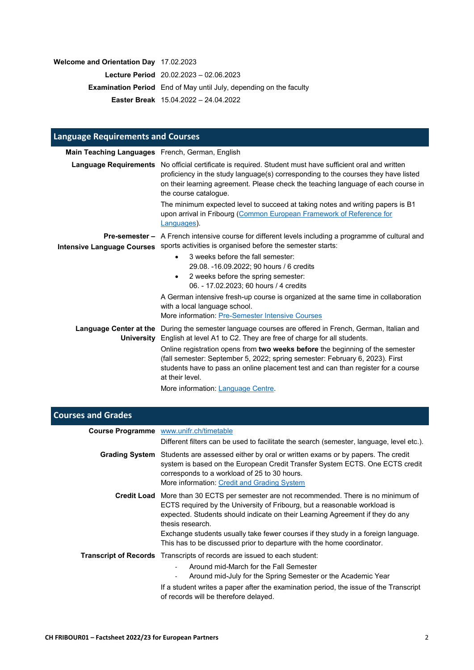### **Welcome and Orientation Day** 17.02.2023

**Lecture Period** 20.02.2023 – 02.06.2023

**Examination Period** End of May until July, depending on the faculty

**Easter Break** 15.04.2022 – 24.04.2022

| <b>Language Requirements and Courses</b>        |                                                                                                                                                                                                                                                                                                                                                       |
|-------------------------------------------------|-------------------------------------------------------------------------------------------------------------------------------------------------------------------------------------------------------------------------------------------------------------------------------------------------------------------------------------------------------|
| Main Teaching Languages French, German, English |                                                                                                                                                                                                                                                                                                                                                       |
|                                                 | Language Requirements No official certificate is required. Student must have sufficient oral and written<br>proficiency in the study language(s) corresponding to the courses they have listed<br>on their learning agreement. Please check the teaching language of each course in<br>the course catalogue.                                          |
|                                                 | The minimum expected level to succeed at taking notes and writing papers is B1<br>upon arrival in Fribourg (Common European Framework of Reference for<br>Languages).                                                                                                                                                                                 |
| <b>Intensive Language Courses</b>               | <b>Pre-semester –</b> A French intensive course for different levels including a programme of cultural and<br>sports activities is organised before the semester starts:                                                                                                                                                                              |
|                                                 | 3 weeks before the fall semester:<br>$\bullet$<br>29.08. -16.09.2022; 90 hours / 6 credits<br>2 weeks before the spring semester:<br>06. - 17.02.2023; 60 hours / 4 credits<br>A German intensive fresh-up course is organized at the same time in collaboration<br>with a local language school.<br>More information: Pre-Semester Intensive Courses |
|                                                 | Language Center at the During the semester language courses are offered in French, German, Italian and<br><b>University</b> English at level A1 to C2. They are free of charge for all students.                                                                                                                                                      |
|                                                 | Online registration opens from two weeks before the beginning of the semester<br>(fall semester: September 5, 2022; spring semester: February 6, 2023). First<br>students have to pass an online placement test and can than register for a course<br>at their level.<br>More information: Language Centre.                                           |

| <b>Courses and Grades</b> |                                                                                                                                                                                                                                                                                                                                                                                                                                                |
|---------------------------|------------------------------------------------------------------------------------------------------------------------------------------------------------------------------------------------------------------------------------------------------------------------------------------------------------------------------------------------------------------------------------------------------------------------------------------------|
|                           | <b>Course Programme</b> www.unifr.ch/timetable                                                                                                                                                                                                                                                                                                                                                                                                 |
|                           | Different filters can be used to facilitate the search (semester, language, level etc.).                                                                                                                                                                                                                                                                                                                                                       |
|                           | Grading System Students are assessed either by oral or written exams or by papers. The credit<br>system is based on the European Credit Transfer System ECTS. One ECTS credit<br>corresponds to a workload of 25 to 30 hours.<br>More information: Credit and Grading System                                                                                                                                                                   |
|                           | <b>Credit Load</b> More than 30 ECTS per semester are not recommended. There is no minimum of<br>ECTS required by the University of Fribourg, but a reasonable workload is<br>expected. Students should indicate on their Learning Agreement if they do any<br>thesis research.<br>Exchange students usually take fewer courses if they study in a foreign language.<br>This has to be discussed prior to departure with the home coordinator. |
|                           | <b>Transcript of Records</b> Transcripts of records are issued to each student:<br>Around mid-March for the Fall Semester<br>Around mid-July for the Spring Semester or the Academic Year<br>If a student writes a paper after the examination period, the issue of the Transcript                                                                                                                                                             |
|                           | of records will be therefore delayed.                                                                                                                                                                                                                                                                                                                                                                                                          |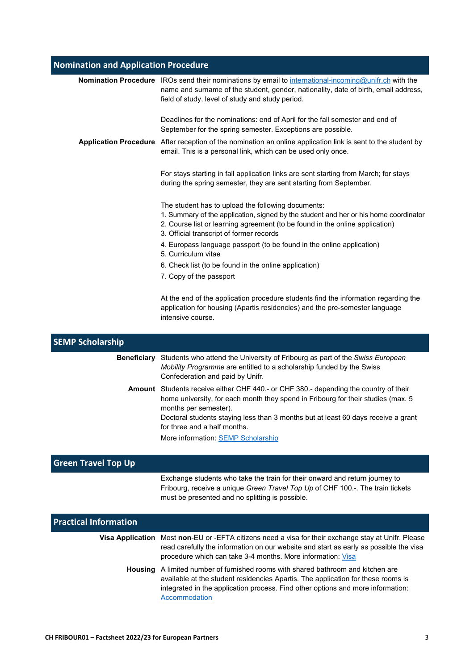# **Nomination and Application Procedure**

|                         | Nomination Procedure IROs send their nominations by email to international-incoming@unifr.ch with the<br>name and surname of the student, gender, nationality, date of birth, email address,<br>field of study, level of study and study period.                       |
|-------------------------|------------------------------------------------------------------------------------------------------------------------------------------------------------------------------------------------------------------------------------------------------------------------|
|                         | Deadlines for the nominations: end of April for the fall semester and end of<br>September for the spring semester. Exceptions are possible.                                                                                                                            |
|                         | Application Procedure After reception of the nomination an online application link is sent to the student by<br>email. This is a personal link, which can be used only once.                                                                                           |
|                         | For stays starting in fall application links are sent starting from March; for stays<br>during the spring semester, they are sent starting from September.                                                                                                             |
|                         | The student has to upload the following documents:<br>1. Summary of the application, signed by the student and her or his home coordinator<br>2. Course list or learning agreement (to be found in the online application)<br>3. Official transcript of former records |
|                         | 4. Europass language passport (to be found in the online application)<br>5. Curriculum vitae                                                                                                                                                                           |
|                         | 6. Check list (to be found in the online application)                                                                                                                                                                                                                  |
|                         | 7. Copy of the passport                                                                                                                                                                                                                                                |
|                         | At the end of the application procedure students find the information regarding the<br>application for housing (Apartis residencies) and the pre-semester language<br>intensive course.                                                                                |
| <b>SEMP Scholarship</b> |                                                                                                                                                                                                                                                                        |

| <b>Beneficiary</b> | Students who attend the University of Fribourg as part of the Swiss European<br>Mobility Programme are entitled to a scholarship funded by the Swiss<br>Confederation and paid by Unifr.           |
|--------------------|----------------------------------------------------------------------------------------------------------------------------------------------------------------------------------------------------|
|                    | Amount Students receive either CHF 440.- or CHF 380.- depending the country of their<br>home university, for each month they spend in Fribourg for their studies (max. 5)<br>months per semester). |
|                    | Doctoral students staying less than 3 months but at least 60 days receive a grant<br>for three and a half months.                                                                                  |
|                    | More information: SEMP Scholarship                                                                                                                                                                 |

## **Green Travel Top Up**

Exchange students who take the train for their onward and return journey to Fribourg, receive a unique *Green Travel Top Up* of CHF 100.-. The train tickets must be presented and no splitting is possible.

| <b>Practical Information</b> |                                                                                                                                                                                                                                                                                 |
|------------------------------|---------------------------------------------------------------------------------------------------------------------------------------------------------------------------------------------------------------------------------------------------------------------------------|
|                              | Visa Application Most non-EU or -EFTA citizens need a visa for their exchange stay at Unifr. Please<br>read carefully the information on our website and start as early as possible the visa<br>procedure which can take 3-4 months. More information: Visa                     |
|                              | <b>Housing</b> A limited number of furnished rooms with shared bathroom and kitchen are<br>available at the student residencies Apartis. The application for these rooms is<br>integrated in the application process. Find other options and more information:<br>Accommodation |